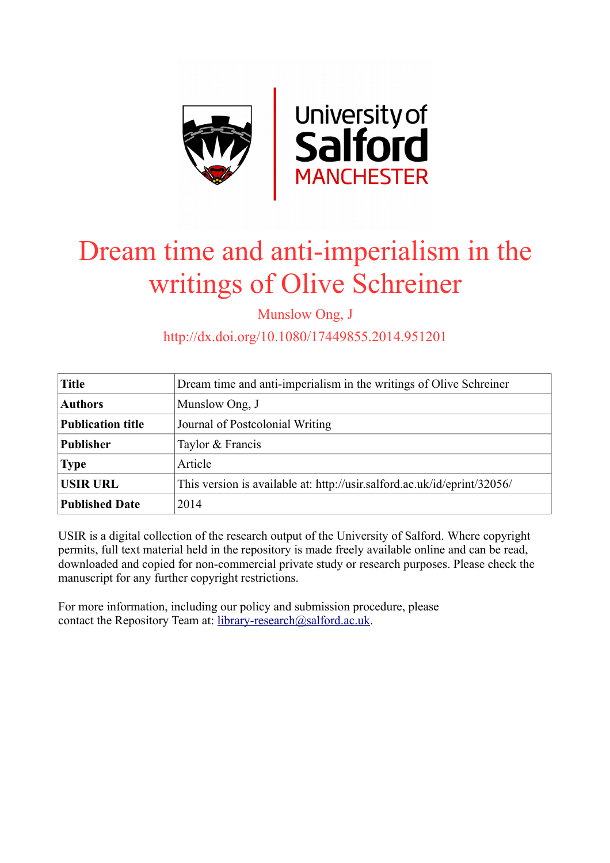

# Dream time and anti-imperialism in the writings of Olive Schreiner

Munslow Ong, J

http://dx.doi.org/10.1080/17449855.2014.951201

| <b>Title</b>             | Dream time and anti-imperialism in the writings of Olive Schreiner       |
|--------------------------|--------------------------------------------------------------------------|
| <b>Authors</b>           | Munslow Ong, J                                                           |
| <b>Publication title</b> | Journal of Postcolonial Writing                                          |
| <b>Publisher</b>         | Taylor & Francis                                                         |
| <b>Type</b>              | Article                                                                  |
| <b>USIR URL</b>          | This version is available at: http://usir.salford.ac.uk/id/eprint/32056/ |
| <b>Published Date</b>    | 2014                                                                     |

USIR is a digital collection of the research output of the University of Salford. Where copyright permits, full text material held in the repository is made freely available online and can be read, downloaded and copied for non-commercial private study or research purposes. Please check the manuscript for any further copyright restrictions.

For more information, including our policy and submission procedure, please contact the Repository Team at: [library-research@salford.ac.uk.](mailto:library-research@salford.ac.uk)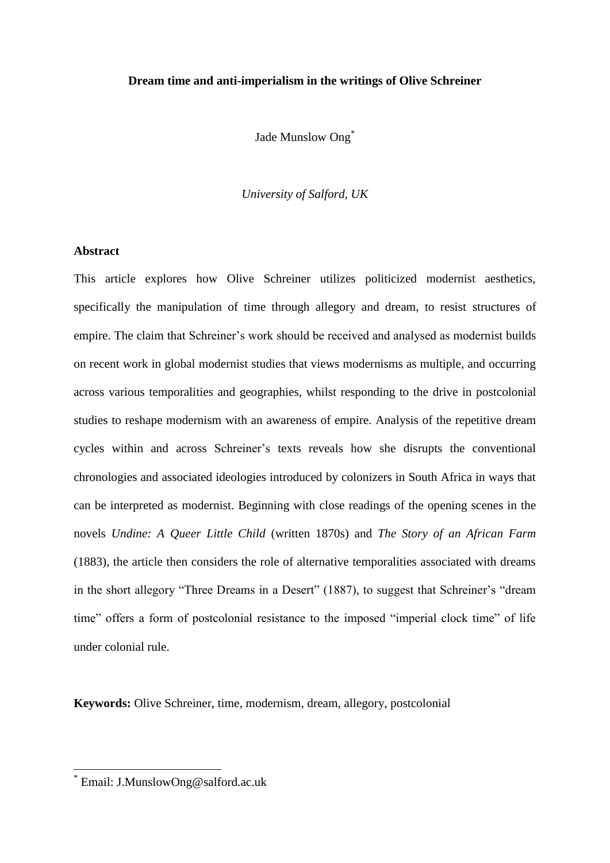## **Dream time and anti-imperialism in the writings of Olive Schreiner**

Jade Munslow Ong<sup>\*</sup>

*University of Salford, UK*

## **Abstract**

This article explores how Olive Schreiner utilizes politicized modernist aesthetics, specifically the manipulation of time through allegory and dream, to resist structures of empire. The claim that Schreiner's work should be received and analysed as modernist builds on recent work in global modernist studies that views modernisms as multiple, and occurring across various temporalities and geographies, whilst responding to the drive in postcolonial studies to reshape modernism with an awareness of empire. Analysis of the repetitive dream cycles within and across Schreiner's texts reveals how she disrupts the conventional chronologies and associated ideologies introduced by colonizers in South Africa in ways that can be interpreted as modernist. Beginning with close readings of the opening scenes in the novels *Undine: A Queer Little Child* (written 1870s) and *The Story of an African Farm*  (1883), the article then considers the role of alternative temporalities associated with dreams in the short allegory "Three Dreams in a Desert" (1887), to suggest that Schreiner's "dream time" offers a form of postcolonial resistance to the imposed "imperial clock time" of life under colonial rule.

**Keywords:** Olive Schreiner, time, modernism, dream, allegory, postcolonial

1

<sup>\*</sup> Email: J.MunslowOng@salford.ac.uk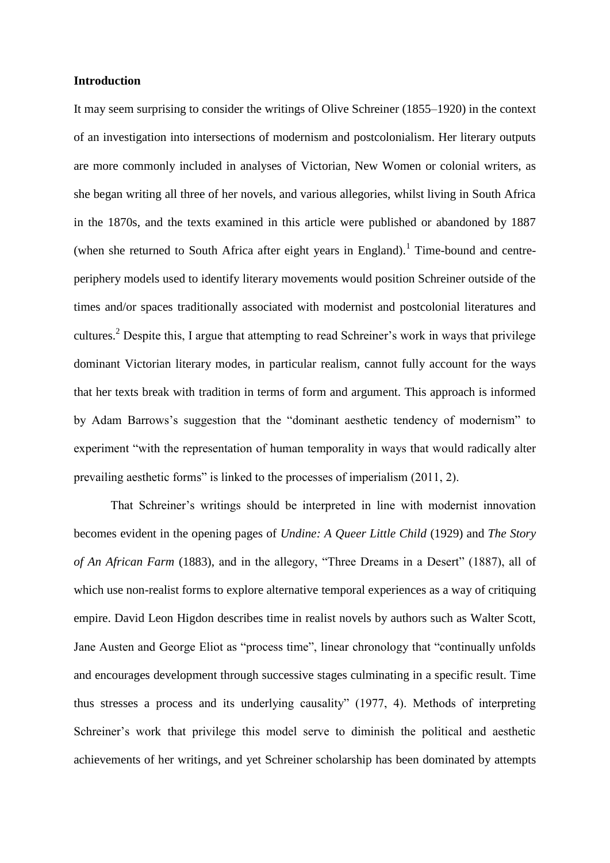## **Introduction**

It may seem surprising to consider the writings of Olive Schreiner (1855–1920) in the context of an investigation into intersections of modernism and postcolonialism. Her literary outputs are more commonly included in analyses of Victorian, New Women or colonial writers, as she began writing all three of her novels, and various allegories, whilst living in South Africa in the 1870s, and the texts examined in this article were published or abandoned by 1887 (when she returned to South Africa after eight years in England).<sup>1</sup> Time-bound and centreperiphery models used to identify literary movements would position Schreiner outside of the times and/or spaces traditionally associated with modernist and postcolonial literatures and cultures.<sup>2</sup> Despite this, I argue that attempting to read Schreiner's work in ways that privilege dominant Victorian literary modes, in particular realism, cannot fully account for the ways that her texts break with tradition in terms of form and argument. This approach is informed by Adam Barrows's suggestion that the "dominant aesthetic tendency of modernism" to experiment "with the representation of human temporality in ways that would radically alter prevailing aesthetic forms" is linked to the processes of imperialism (2011, 2).

That Schreiner's writings should be interpreted in line with modernist innovation becomes evident in the opening pages of *Undine: A Queer Little Child* (1929) and *The Story of An African Farm* (1883), and in the allegory, "Three Dreams in a Desert" (1887), all of which use non-realist forms to explore alternative temporal experiences as a way of critiquing empire. David Leon Higdon describes time in realist novels by authors such as Walter Scott, Jane Austen and George Eliot as "process time", linear chronology that "continually unfolds and encourages development through successive stages culminating in a specific result. Time thus stresses a process and its underlying causality" (1977, 4). Methods of interpreting Schreiner's work that privilege this model serve to diminish the political and aesthetic achievements of her writings, and yet Schreiner scholarship has been dominated by attempts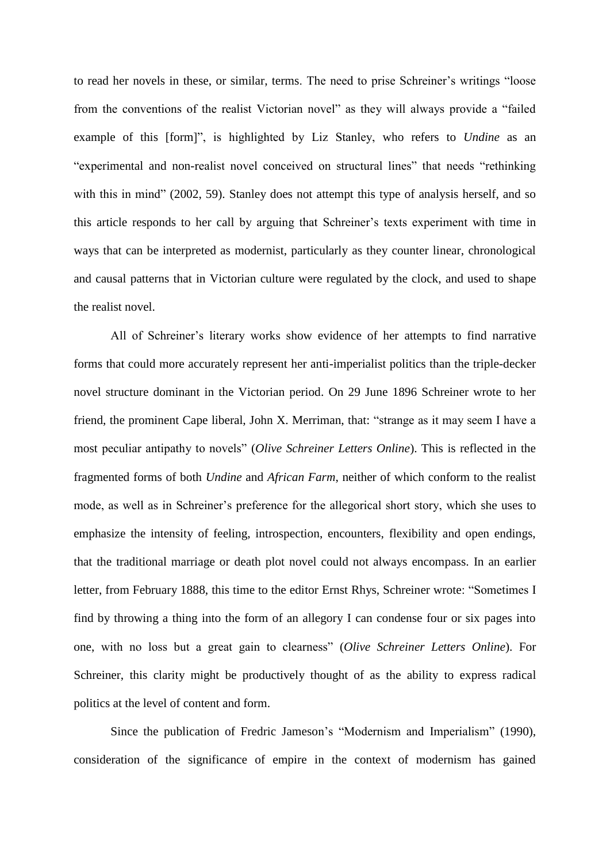to read her novels in these, or similar, terms. The need to prise Schreiner's writings "loose from the conventions of the realist Victorian novel" as they will always provide a "failed example of this [form]", is highlighted by Liz Stanley, who refers to *Undine* as an "experimental and non-realist novel conceived on structural lines" that needs "rethinking with this in mind" (2002, 59). Stanley does not attempt this type of analysis herself, and so this article responds to her call by arguing that Schreiner's texts experiment with time in ways that can be interpreted as modernist, particularly as they counter linear, chronological and causal patterns that in Victorian culture were regulated by the clock, and used to shape the realist novel.

All of Schreiner's literary works show evidence of her attempts to find narrative forms that could more accurately represent her anti-imperialist politics than the triple-decker novel structure dominant in the Victorian period. On 29 June 1896 Schreiner wrote to her friend, the prominent Cape liberal, John X. Merriman, that: "strange as it may seem I have a most peculiar antipathy to novels" (*Olive Schreiner Letters Online*). This is reflected in the fragmented forms of both *Undine* and *African Farm*, neither of which conform to the realist mode, as well as in Schreiner's preference for the allegorical short story, which she uses to emphasize the intensity of feeling, introspection, encounters, flexibility and open endings, that the traditional marriage or death plot novel could not always encompass. In an earlier letter, from February 1888, this time to the editor Ernst Rhys, Schreiner wrote: "Sometimes I find by throwing a thing into the form of an allegory I can condense four or six pages into one, with no loss but a great gain to clearness" (*Olive Schreiner Letters Online*). For Schreiner, this clarity might be productively thought of as the ability to express radical politics at the level of content and form.

Since the publication of Fredric Jameson's "Modernism and Imperialism" (1990), consideration of the significance of empire in the context of modernism has gained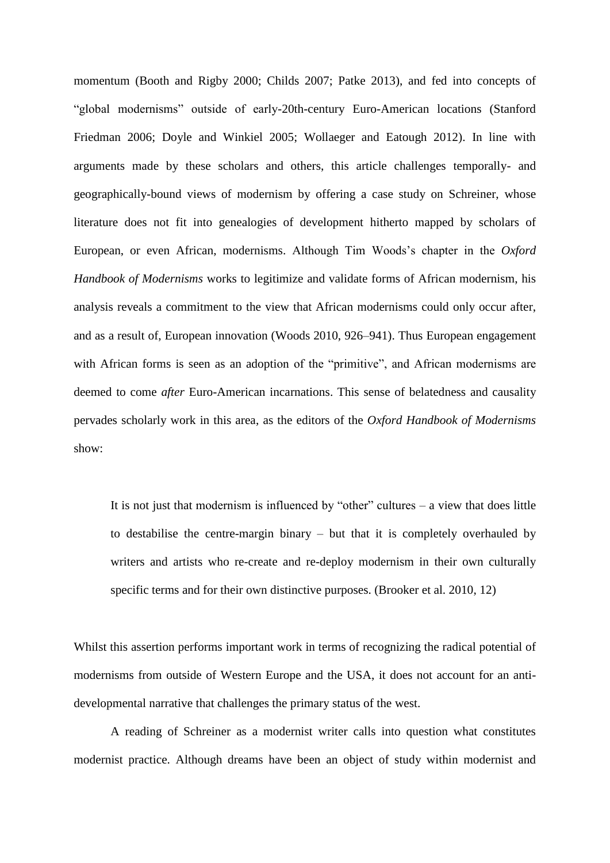momentum (Booth and Rigby 2000; Childs 2007; Patke 2013), and fed into concepts of "global modernisms" outside of early-20th-century Euro-American locations (Stanford Friedman 2006; Doyle and Winkiel 2005; Wollaeger and Eatough 2012). In line with arguments made by these scholars and others, this article challenges temporally- and geographically-bound views of modernism by offering a case study on Schreiner, whose literature does not fit into genealogies of development hitherto mapped by scholars of European, or even African, modernisms. Although Tim Woods's chapter in the *Oxford Handbook of Modernisms* works to legitimize and validate forms of African modernism, his analysis reveals a commitment to the view that African modernisms could only occur after, and as a result of, European innovation (Woods 2010, 926–941). Thus European engagement with African forms is seen as an adoption of the "primitive", and African modernisms are deemed to come *after* Euro-American incarnations. This sense of belatedness and causality pervades scholarly work in this area, as the editors of the *Oxford Handbook of Modernisms*  show:

It is not just that modernism is influenced by "other" cultures  $-$  a view that does little to destabilise the centre-margin binary – but that it is completely overhauled by writers and artists who re-create and re-deploy modernism in their own culturally specific terms and for their own distinctive purposes. (Brooker et al. 2010, 12)

Whilst this assertion performs important work in terms of recognizing the radical potential of modernisms from outside of Western Europe and the USA, it does not account for an antidevelopmental narrative that challenges the primary status of the west.

A reading of Schreiner as a modernist writer calls into question what constitutes modernist practice. Although dreams have been an object of study within modernist and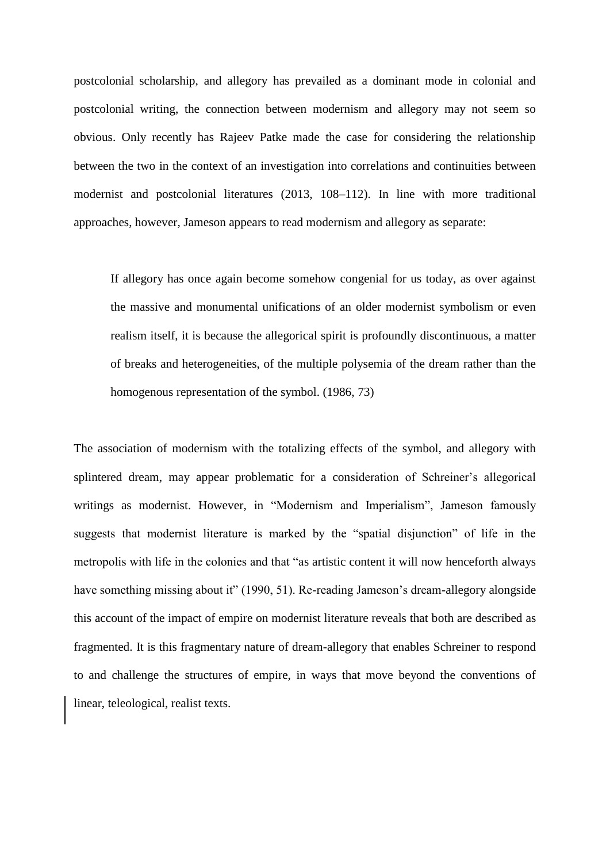postcolonial scholarship, and allegory has prevailed as a dominant mode in colonial and postcolonial writing, the connection between modernism and allegory may not seem so obvious. Only recently has Rajeev Patke made the case for considering the relationship between the two in the context of an investigation into correlations and continuities between modernist and postcolonial literatures (2013, 108–112). In line with more traditional approaches, however, Jameson appears to read modernism and allegory as separate:

If allegory has once again become somehow congenial for us today, as over against the massive and monumental unifications of an older modernist symbolism or even realism itself, it is because the allegorical spirit is profoundly discontinuous, a matter of breaks and heterogeneities, of the multiple polysemia of the dream rather than the homogenous representation of the symbol. (1986, 73)

The association of modernism with the totalizing effects of the symbol, and allegory with splintered dream, may appear problematic for a consideration of Schreiner's allegorical writings as modernist. However, in "Modernism and Imperialism", Jameson famously suggests that modernist literature is marked by the "spatial disjunction" of life in the metropolis with life in the colonies and that "as artistic content it will now henceforth always have something missing about it" (1990, 51). Re-reading Jameson's dream-allegory alongside this account of the impact of empire on modernist literature reveals that both are described as fragmented. It is this fragmentary nature of dream-allegory that enables Schreiner to respond to and challenge the structures of empire, in ways that move beyond the conventions of linear, teleological, realist texts.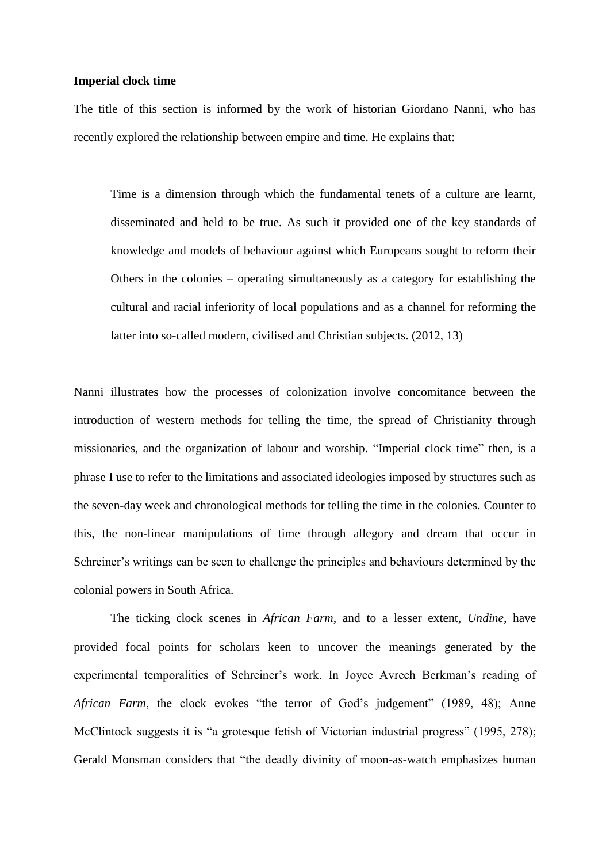## **Imperial clock time**

The title of this section is informed by the work of historian Giordano Nanni, who has recently explored the relationship between empire and time. He explains that:

Time is a dimension through which the fundamental tenets of a culture are learnt, disseminated and held to be true. As such it provided one of the key standards of knowledge and models of behaviour against which Europeans sought to reform their Others in the colonies – operating simultaneously as a category for establishing the cultural and racial inferiority of local populations and as a channel for reforming the latter into so-called modern, civilised and Christian subjects. (2012, 13)

Nanni illustrates how the processes of colonization involve concomitance between the introduction of western methods for telling the time, the spread of Christianity through missionaries, and the organization of labour and worship. "Imperial clock time" then, is a phrase I use to refer to the limitations and associated ideologies imposed by structures such as the seven-day week and chronological methods for telling the time in the colonies. Counter to this, the non-linear manipulations of time through allegory and dream that occur in Schreiner's writings can be seen to challenge the principles and behaviours determined by the colonial powers in South Africa.

The ticking clock scenes in *African Farm*, and to a lesser extent, *Undine*, have provided focal points for scholars keen to uncover the meanings generated by the experimental temporalities of Schreiner's work. In Joyce Avrech Berkman's reading of *African Farm*, the clock evokes "the terror of God's judgement" (1989, 48); Anne McClintock suggests it is "a grotesque fetish of Victorian industrial progress" (1995, 278); Gerald Monsman considers that "the deadly divinity of moon-as-watch emphasizes human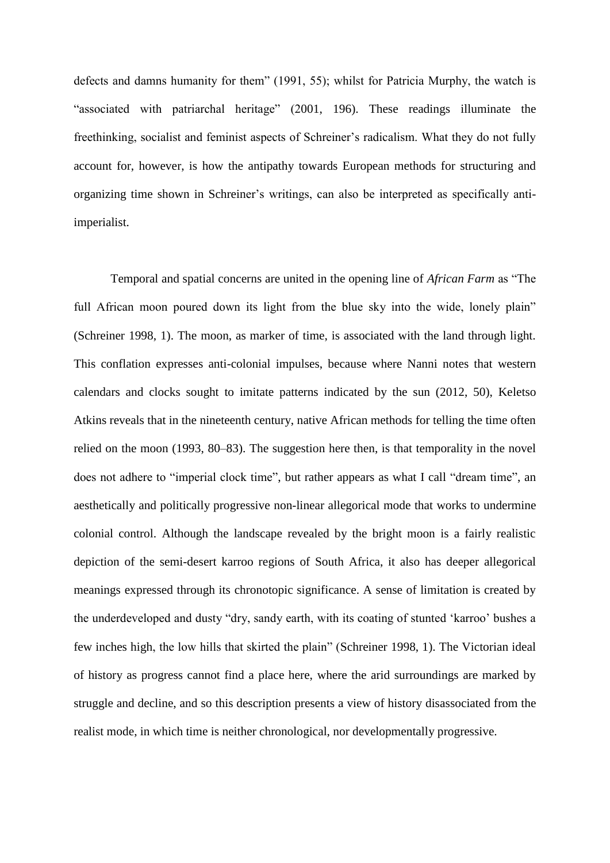defects and damns humanity for them" (1991, 55); whilst for Patricia Murphy, the watch is "associated with patriarchal heritage" (2001, 196). These readings illuminate the freethinking, socialist and feminist aspects of Schreiner's radicalism. What they do not fully account for, however, is how the antipathy towards European methods for structuring and organizing time shown in Schreiner's writings, can also be interpreted as specifically antiimperialist.

Temporal and spatial concerns are united in the opening line of *African Farm* as "The full African moon poured down its light from the blue sky into the wide, lonely plain" (Schreiner 1998, 1). The moon, as marker of time, is associated with the land through light. This conflation expresses anti-colonial impulses, because where Nanni notes that western calendars and clocks sought to imitate patterns indicated by the sun (2012, 50), Keletso Atkins reveals that in the nineteenth century, native African methods for telling the time often relied on the moon (1993, 80–83). The suggestion here then, is that temporality in the novel does not adhere to "imperial clock time", but rather appears as what I call "dream time", an aesthetically and politically progressive non-linear allegorical mode that works to undermine colonial control. Although the landscape revealed by the bright moon is a fairly realistic depiction of the semi-desert karroo regions of South Africa, it also has deeper allegorical meanings expressed through its chronotopic significance. A sense of limitation is created by the underdeveloped and dusty "dry, sandy earth, with its coating of stunted 'karroo' bushes a few inches high, the low hills that skirted the plain" (Schreiner 1998, 1). The Victorian ideal of history as progress cannot find a place here, where the arid surroundings are marked by struggle and decline, and so this description presents a view of history disassociated from the realist mode, in which time is neither chronological, nor developmentally progressive.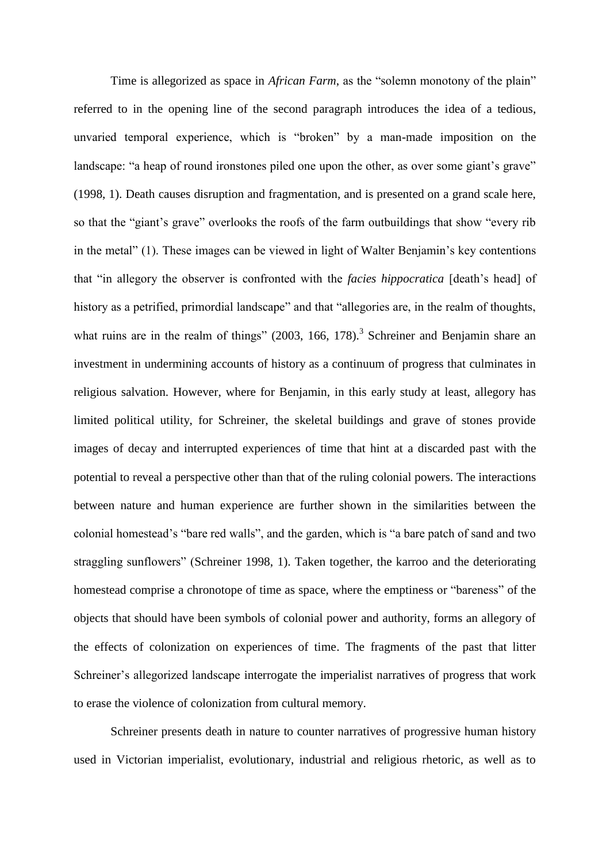Time is allegorized as space in *African Farm*, as the "solemn monotony of the plain" referred to in the opening line of the second paragraph introduces the idea of a tedious, unvaried temporal experience, which is "broken" by a man-made imposition on the landscape: "a heap of round ironstones piled one upon the other, as over some giant's grave" (1998, 1). Death causes disruption and fragmentation, and is presented on a grand scale here, so that the "giant's grave" overlooks the roofs of the farm outbuildings that show "every rib in the metal" (1). These images can be viewed in light of Walter Benjamin's key contentions that "in allegory the observer is confronted with the *facies hippocratica* [death's head] of history as a petrified, primordial landscape" and that "allegories are, in the realm of thoughts, what ruins are in the realm of things"  $(2003, 166, 178)$ .<sup>3</sup> Schreiner and Benjamin share an investment in undermining accounts of history as a continuum of progress that culminates in religious salvation. However, where for Benjamin, in this early study at least, allegory has limited political utility, for Schreiner, the skeletal buildings and grave of stones provide images of decay and interrupted experiences of time that hint at a discarded past with the potential to reveal a perspective other than that of the ruling colonial powers. The interactions between nature and human experience are further shown in the similarities between the colonial homestead's "bare red walls", and the garden, which is "a bare patch of sand and two straggling sunflowers" (Schreiner 1998, 1). Taken together, the karroo and the deteriorating homestead comprise a chronotope of time as space, where the emptiness or "bareness" of the objects that should have been symbols of colonial power and authority, forms an allegory of the effects of colonization on experiences of time. The fragments of the past that litter Schreiner's allegorized landscape interrogate the imperialist narratives of progress that work to erase the violence of colonization from cultural memory.

Schreiner presents death in nature to counter narratives of progressive human history used in Victorian imperialist, evolutionary, industrial and religious rhetoric, as well as to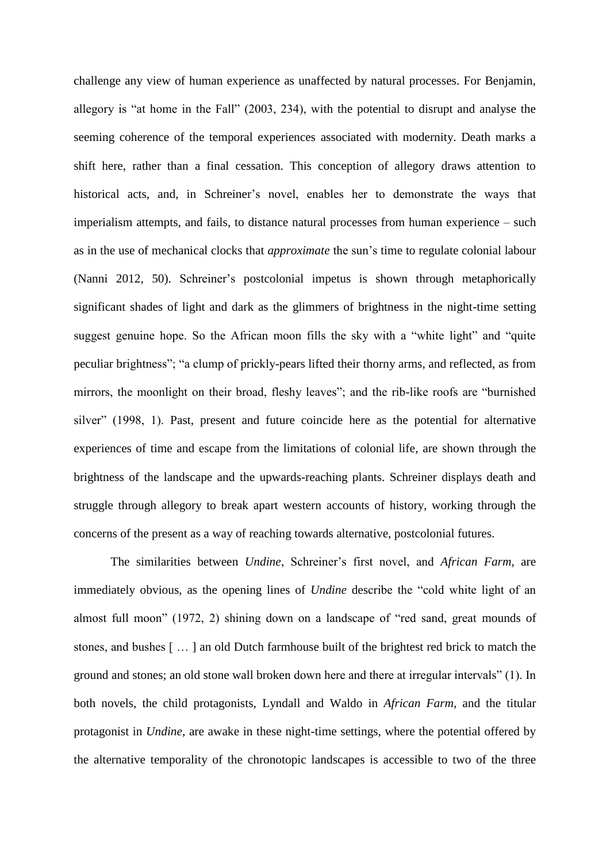challenge any view of human experience as unaffected by natural processes. For Benjamin, allegory is "at home in the Fall" (2003, 234), with the potential to disrupt and analyse the seeming coherence of the temporal experiences associated with modernity. Death marks a shift here, rather than a final cessation. This conception of allegory draws attention to historical acts, and, in Schreiner's novel, enables her to demonstrate the ways that imperialism attempts, and fails, to distance natural processes from human experience – such as in the use of mechanical clocks that *approximate* the sun's time to regulate colonial labour (Nanni 2012, 50). Schreiner's postcolonial impetus is shown through metaphorically significant shades of light and dark as the glimmers of brightness in the night-time setting suggest genuine hope. So the African moon fills the sky with a "white light" and "quite peculiar brightness"; "a clump of prickly-pears lifted their thorny arms, and reflected, as from mirrors, the moonlight on their broad, fleshy leaves"; and the rib-like roofs are "burnished silver" (1998, 1). Past, present and future coincide here as the potential for alternative experiences of time and escape from the limitations of colonial life, are shown through the brightness of the landscape and the upwards-reaching plants. Schreiner displays death and struggle through allegory to break apart western accounts of history, working through the concerns of the present as a way of reaching towards alternative, postcolonial futures.

The similarities between *Undine*, Schreiner's first novel, and *African Farm*, are immediately obvious, as the opening lines of *Undine* describe the "cold white light of an almost full moon" (1972, 2) shining down on a landscape of "red sand, great mounds of stones, and bushes [ … ] an old Dutch farmhouse built of the brightest red brick to match the ground and stones; an old stone wall broken down here and there at irregular intervals" (1). In both novels, the child protagonists, Lyndall and Waldo in *African Farm*, and the titular protagonist in *Undine*, are awake in these night-time settings, where the potential offered by the alternative temporality of the chronotopic landscapes is accessible to two of the three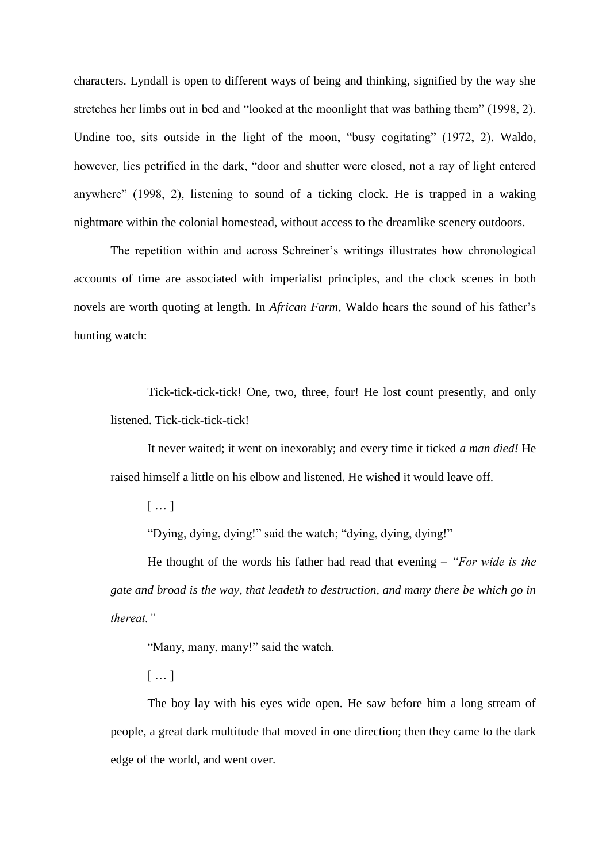characters. Lyndall is open to different ways of being and thinking, signified by the way she stretches her limbs out in bed and "looked at the moonlight that was bathing them" (1998, 2). Undine too, sits outside in the light of the moon, "busy cogitating" (1972, 2). Waldo, however, lies petrified in the dark, "door and shutter were closed, not a ray of light entered anywhere" (1998, 2), listening to sound of a ticking clock. He is trapped in a waking nightmare within the colonial homestead, without access to the dreamlike scenery outdoors.

The repetition within and across Schreiner's writings illustrates how chronological accounts of time are associated with imperialist principles, and the clock scenes in both novels are worth quoting at length. In *African Farm*, Waldo hears the sound of his father's hunting watch:

Tick-tick-tick-tick! One, two, three, four! He lost count presently, and only listened. Tick-tick-tick-tick!

It never waited; it went on inexorably; and every time it ticked *a man died!* He raised himself a little on his elbow and listened. He wished it would leave off.

[ … ]

"Dying, dying, dying!" said the watch; "dying, dying, dying!"

He thought of the words his father had read that evening – *"For wide is the gate and broad is the way, that leadeth to destruction, and many there be which go in thereat."*

"Many, many, many!" said the watch.

[ … ]

The boy lay with his eyes wide open. He saw before him a long stream of people, a great dark multitude that moved in one direction; then they came to the dark edge of the world, and went over.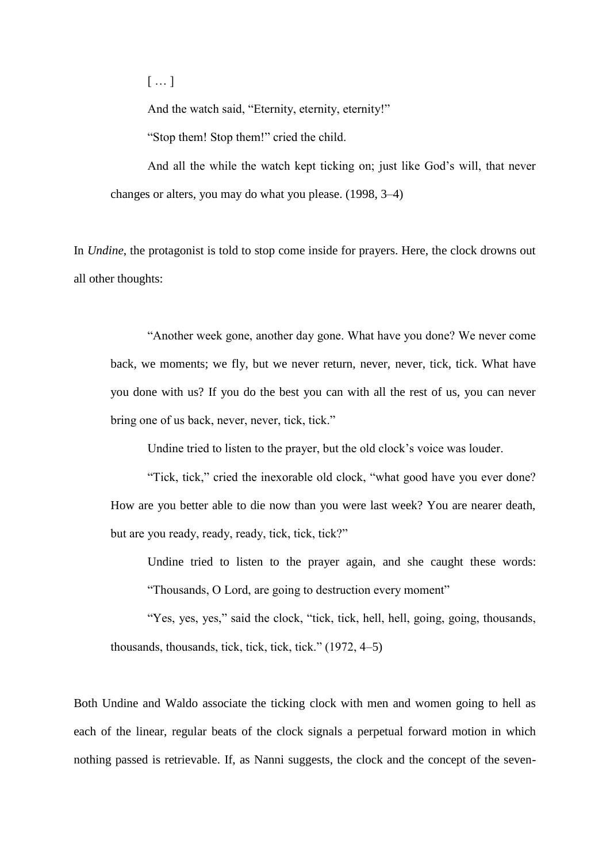[ … ]

And the watch said, "Eternity, eternity, eternity!"

"Stop them! Stop them!" cried the child.

And all the while the watch kept ticking on; just like God's will, that never changes or alters, you may do what you please. (1998, 3–4)

In *Undine*, the protagonist is told to stop come inside for prayers. Here, the clock drowns out all other thoughts:

"Another week gone, another day gone. What have you done? We never come back, we moments; we fly, but we never return, never, never, tick, tick. What have you done with us? If you do the best you can with all the rest of us, you can never bring one of us back, never, never, tick, tick."

Undine tried to listen to the prayer, but the old clock's voice was louder.

"Tick, tick," cried the inexorable old clock, "what good have you ever done? How are you better able to die now than you were last week? You are nearer death, but are you ready, ready, ready, tick, tick, tick?"

Undine tried to listen to the prayer again, and she caught these words:

"Thousands, O Lord, are going to destruction every moment"

"Yes, yes, yes," said the clock, "tick, tick, hell, hell, going, going, thousands, thousands, thousands, tick, tick, tick, tick." (1972, 4–5)

Both Undine and Waldo associate the ticking clock with men and women going to hell as each of the linear, regular beats of the clock signals a perpetual forward motion in which nothing passed is retrievable. If, as Nanni suggests, the clock and the concept of the seven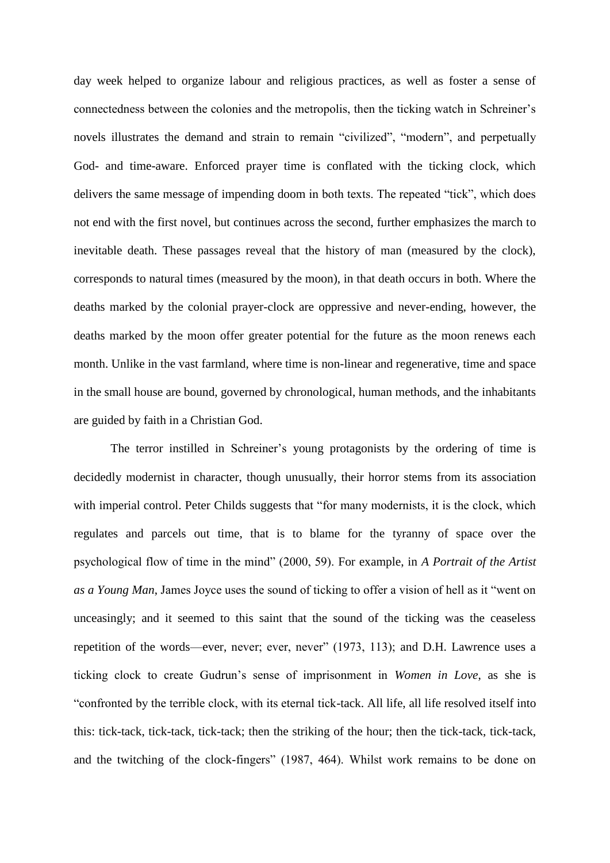day week helped to organize labour and religious practices, as well as foster a sense of connectedness between the colonies and the metropolis, then the ticking watch in Schreiner's novels illustrates the demand and strain to remain "civilized", "modern", and perpetually God- and time-aware. Enforced prayer time is conflated with the ticking clock, which delivers the same message of impending doom in both texts. The repeated "tick", which does not end with the first novel, but continues across the second, further emphasizes the march to inevitable death. These passages reveal that the history of man (measured by the clock), corresponds to natural times (measured by the moon), in that death occurs in both. Where the deaths marked by the colonial prayer-clock are oppressive and never-ending, however, the deaths marked by the moon offer greater potential for the future as the moon renews each month. Unlike in the vast farmland, where time is non-linear and regenerative, time and space in the small house are bound, governed by chronological, human methods, and the inhabitants are guided by faith in a Christian God.

The terror instilled in Schreiner's young protagonists by the ordering of time is decidedly modernist in character, though unusually, their horror stems from its association with imperial control. Peter Childs suggests that "for many modernists, it is the clock, which regulates and parcels out time, that is to blame for the tyranny of space over the psychological flow of time in the mind" (2000, 59). For example, in *A Portrait of the Artist as a Young Man*, James Joyce uses the sound of ticking to offer a vision of hell as it "went on unceasingly; and it seemed to this saint that the sound of the ticking was the ceaseless repetition of the words—ever, never; ever, never" (1973, 113); and D.H. Lawrence uses a ticking clock to create Gudrun's sense of imprisonment in *Women in Love*, as she is "confronted by the terrible clock, with its eternal tick-tack. All life, all life resolved itself into this: tick-tack, tick-tack, tick-tack; then the striking of the hour; then the tick-tack, tick-tack, and the twitching of the clock-fingers" (1987, 464). Whilst work remains to be done on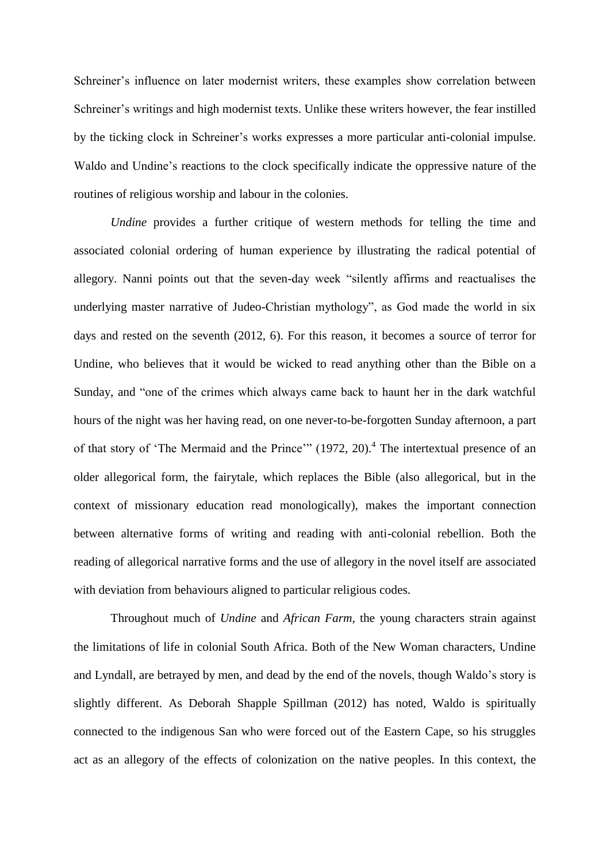Schreiner's influence on later modernist writers, these examples show correlation between Schreiner's writings and high modernist texts. Unlike these writers however, the fear instilled by the ticking clock in Schreiner's works expresses a more particular anti-colonial impulse. Waldo and Undine's reactions to the clock specifically indicate the oppressive nature of the routines of religious worship and labour in the colonies.

*Undine* provides a further critique of western methods for telling the time and associated colonial ordering of human experience by illustrating the radical potential of allegory. Nanni points out that the seven-day week "silently affirms and reactualises the underlying master narrative of Judeo-Christian mythology", as God made the world in six days and rested on the seventh (2012, 6). For this reason, it becomes a source of terror for Undine, who believes that it would be wicked to read anything other than the Bible on a Sunday, and "one of the crimes which always came back to haunt her in the dark watchful hours of the night was her having read, on one never-to-be-forgotten Sunday afternoon, a part of that story of 'The Mermaid and the Prince'"  $(1972, 20)$ .<sup>4</sup> The intertextual presence of an older allegorical form, the fairytale, which replaces the Bible (also allegorical, but in the context of missionary education read monologically), makes the important connection between alternative forms of writing and reading with anti-colonial rebellion. Both the reading of allegorical narrative forms and the use of allegory in the novel itself are associated with deviation from behaviours aligned to particular religious codes.

Throughout much of *Undine* and *African Farm*, the young characters strain against the limitations of life in colonial South Africa. Both of the New Woman characters, Undine and Lyndall, are betrayed by men, and dead by the end of the novels, though Waldo's story is slightly different. As Deborah Shapple Spillman (2012) has noted, Waldo is spiritually connected to the indigenous San who were forced out of the Eastern Cape, so his struggles act as an allegory of the effects of colonization on the native peoples. In this context, the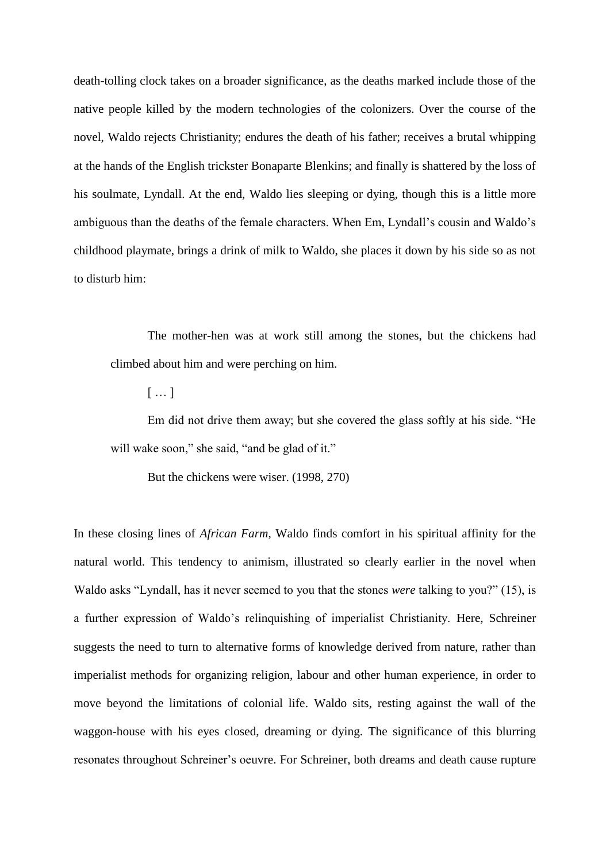death-tolling clock takes on a broader significance, as the deaths marked include those of the native people killed by the modern technologies of the colonizers. Over the course of the novel, Waldo rejects Christianity; endures the death of his father; receives a brutal whipping at the hands of the English trickster Bonaparte Blenkins; and finally is shattered by the loss of his soulmate, Lyndall. At the end, Waldo lies sleeping or dying, though this is a little more ambiguous than the deaths of the female characters. When Em, Lyndall's cousin and Waldo's childhood playmate, brings a drink of milk to Waldo, she places it down by his side so as not to disturb him:

The mother-hen was at work still among the stones, but the chickens had climbed about him and were perching on him.

[ … ]

Em did not drive them away; but she covered the glass softly at his side. "He will wake soon," she said, "and be glad of it."

But the chickens were wiser. (1998, 270)

In these closing lines of *African Farm*, Waldo finds comfort in his spiritual affinity for the natural world. This tendency to animism, illustrated so clearly earlier in the novel when Waldo asks "Lyndall, has it never seemed to you that the stones *were* talking to you?" (15), is a further expression of Waldo's relinquishing of imperialist Christianity. Here, Schreiner suggests the need to turn to alternative forms of knowledge derived from nature, rather than imperialist methods for organizing religion, labour and other human experience, in order to move beyond the limitations of colonial life. Waldo sits, resting against the wall of the waggon-house with his eyes closed, dreaming or dying. The significance of this blurring resonates throughout Schreiner's oeuvre. For Schreiner, both dreams and death cause rupture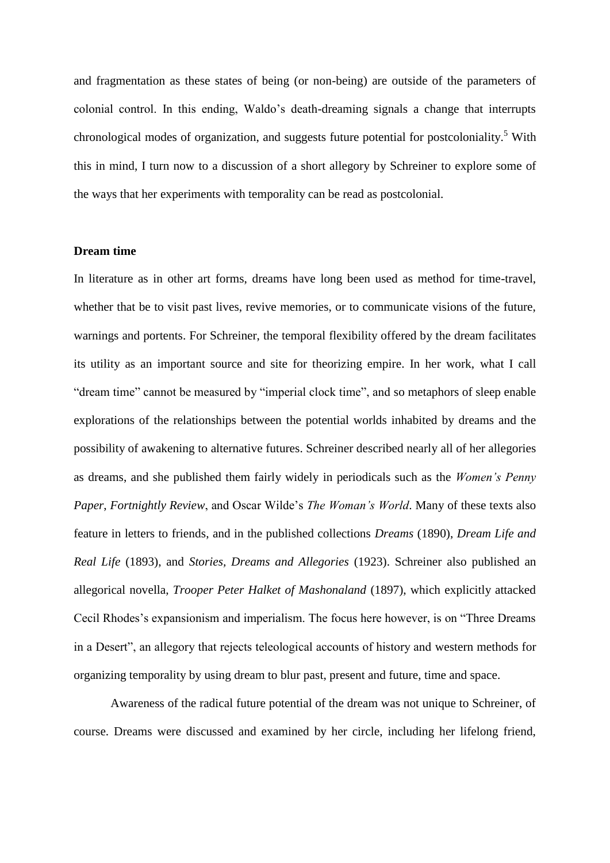and fragmentation as these states of being (or non-being) are outside of the parameters of colonial control. In this ending, Waldo's death-dreaming signals a change that interrupts chronological modes of organization, and suggests future potential for postcoloniality.<sup>5</sup> With this in mind, I turn now to a discussion of a short allegory by Schreiner to explore some of the ways that her experiments with temporality can be read as postcolonial.

## **Dream time**

In literature as in other art forms, dreams have long been used as method for time-travel, whether that be to visit past lives, revive memories, or to communicate visions of the future, warnings and portents. For Schreiner, the temporal flexibility offered by the dream facilitates its utility as an important source and site for theorizing empire. In her work, what I call "dream time" cannot be measured by "imperial clock time", and so metaphors of sleep enable explorations of the relationships between the potential worlds inhabited by dreams and the possibility of awakening to alternative futures. Schreiner described nearly all of her allegories as dreams, and she published them fairly widely in periodicals such as the *Women's Penny Paper*, *Fortnightly Review*, and Oscar Wilde's *The Woman's World*. Many of these texts also feature in letters to friends, and in the published collections *Dreams* (1890), *Dream Life and Real Life* (1893), and *Stories, Dreams and Allegories* (1923). Schreiner also published an allegorical novella, *Trooper Peter Halket of Mashonaland* (1897), which explicitly attacked Cecil Rhodes's expansionism and imperialism. The focus here however, is on "Three Dreams in a Desert", an allegory that rejects teleological accounts of history and western methods for organizing temporality by using dream to blur past, present and future, time and space.

Awareness of the radical future potential of the dream was not unique to Schreiner, of course. Dreams were discussed and examined by her circle, including her lifelong friend,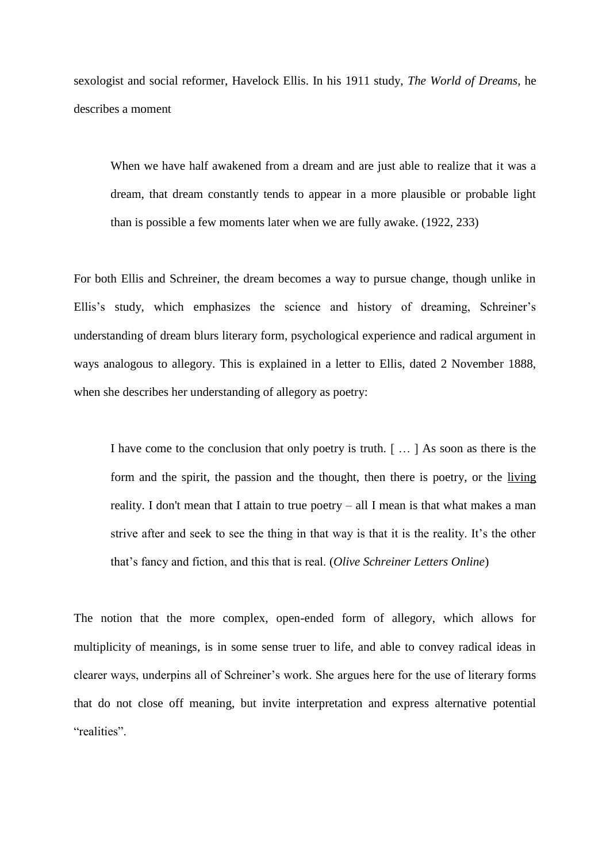sexologist and social reformer, Havelock Ellis. In his 1911 study, *The World of Dreams*, he describes a moment

When we have half awakened from a dream and are just able to realize that it was a dream, that dream constantly tends to appear in a more plausible or probable light than is possible a few moments later when we are fully awake. (1922, 233)

For both Ellis and Schreiner, the dream becomes a way to pursue change, though unlike in Ellis's study, which emphasizes the science and history of dreaming, Schreiner's understanding of dream blurs literary form, psychological experience and radical argument in ways analogous to allegory. This is explained in a letter to Ellis, dated 2 November 1888, when she describes her understanding of allegory as poetry:

I have come to the conclusion that only poetry is truth. [ … ] As soon as there is the form and the spirit, the passion and the thought, then there is poetry, or the living reality. I don't mean that I attain to true poetry – all I mean is that what makes a man strive after and seek to see the thing in that way is that it is the reality. It's the other that's fancy and fiction, and this that is real. (*Olive Schreiner Letters Online*)

The notion that the more complex, open-ended form of allegory, which allows for multiplicity of meanings, is in some sense truer to life, and able to convey radical ideas in clearer ways, underpins all of Schreiner's work. She argues here for the use of literary forms that do not close off meaning, but invite interpretation and express alternative potential "realities".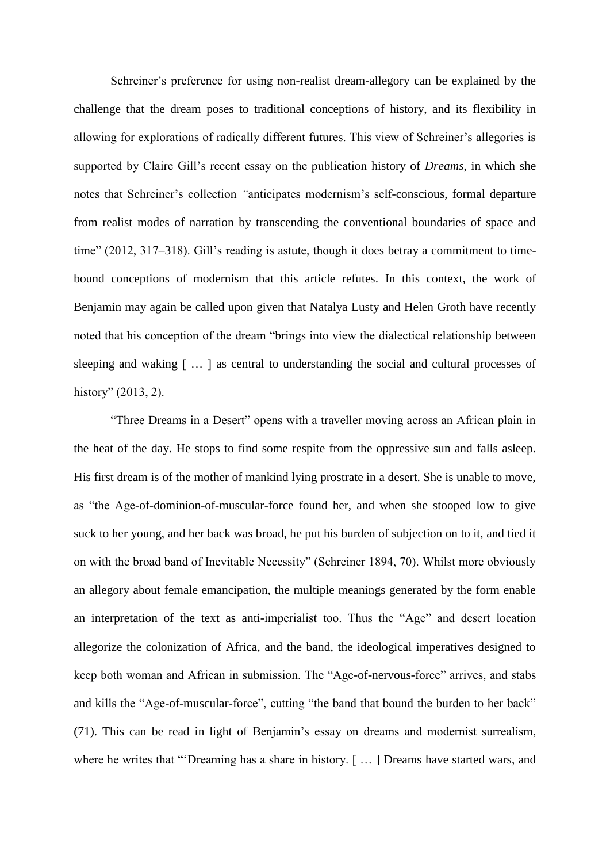Schreiner's preference for using non-realist dream-allegory can be explained by the challenge that the dream poses to traditional conceptions of history, and its flexibility in allowing for explorations of radically different futures. This view of Schreiner's allegories is supported by Claire Gill's recent essay on the publication history of *Dreams*, in which she notes that Schreiner's collection *"*anticipates modernism's self-conscious, formal departure from realist modes of narration by transcending the conventional boundaries of space and time" (2012, 317–318). Gill's reading is astute, though it does betray a commitment to timebound conceptions of modernism that this article refutes. In this context, the work of Benjamin may again be called upon given that Natalya Lusty and Helen Groth have recently noted that his conception of the dream "brings into view the dialectical relationship between sleeping and waking [ … ] as central to understanding the social and cultural processes of history" (2013, 2).

"Three Dreams in a Desert" opens with a traveller moving across an African plain in the heat of the day. He stops to find some respite from the oppressive sun and falls asleep. His first dream is of the mother of mankind lying prostrate in a desert. She is unable to move, as "the Age-of-dominion-of-muscular-force found her, and when she stooped low to give suck to her young, and her back was broad, he put his burden of subjection on to it, and tied it on with the broad band of Inevitable Necessity" (Schreiner 1894, 70). Whilst more obviously an allegory about female emancipation, the multiple meanings generated by the form enable an interpretation of the text as anti-imperialist too. Thus the "Age" and desert location allegorize the colonization of Africa, and the band, the ideological imperatives designed to keep both woman and African in submission. The "Age-of-nervous-force" arrives, and stabs and kills the "Age-of-muscular-force", cutting "the band that bound the burden to her back" (71). This can be read in light of Benjamin's essay on dreams and modernist surrealism, where he writes that "'Dreaming has a share in history. [...] Dreams have started wars, and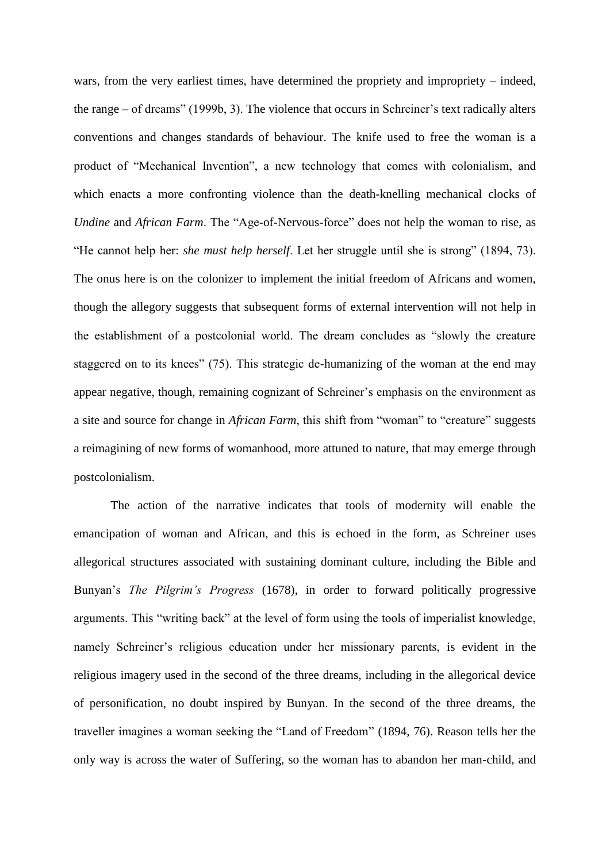wars, from the very earliest times, have determined the propriety and impropriety – indeed, the range – of dreams" (1999b, 3). The violence that occurs in Schreiner's text radically alters conventions and changes standards of behaviour. The knife used to free the woman is a product of "Mechanical Invention", a new technology that comes with colonialism, and which enacts a more confronting violence than the death-knelling mechanical clocks of *Undine* and *African Farm*. The "Age-of-Nervous-force" does not help the woman to rise, as "He cannot help her: *she must help herself*. Let her struggle until she is strong" (1894, 73). The onus here is on the colonizer to implement the initial freedom of Africans and women, though the allegory suggests that subsequent forms of external intervention will not help in the establishment of a postcolonial world. The dream concludes as "slowly the creature staggered on to its knees" (75). This strategic de-humanizing of the woman at the end may appear negative, though, remaining cognizant of Schreiner's emphasis on the environment as a site and source for change in *African Farm*, this shift from "woman" to "creature" suggests a reimagining of new forms of womanhood, more attuned to nature, that may emerge through postcolonialism. 6

The action of the narrative indicates that tools of modernity will enable the emancipation of woman and African, and this is echoed in the form, as Schreiner uses allegorical structures associated with sustaining dominant culture, including the Bible and Bunyan's *The Pilgrim's Progress* (1678), in order to forward politically progressive arguments. This "writing back" at the level of form using the tools of imperialist knowledge, namely Schreiner's religious education under her missionary parents, is evident in the religious imagery used in the second of the three dreams, including in the allegorical device of personification, no doubt inspired by Bunyan. In the second of the three dreams, the traveller imagines a woman seeking the "Land of Freedom" (1894, 76). Reason tells her the only way is across the water of Suffering, so the woman has to abandon her man-child, and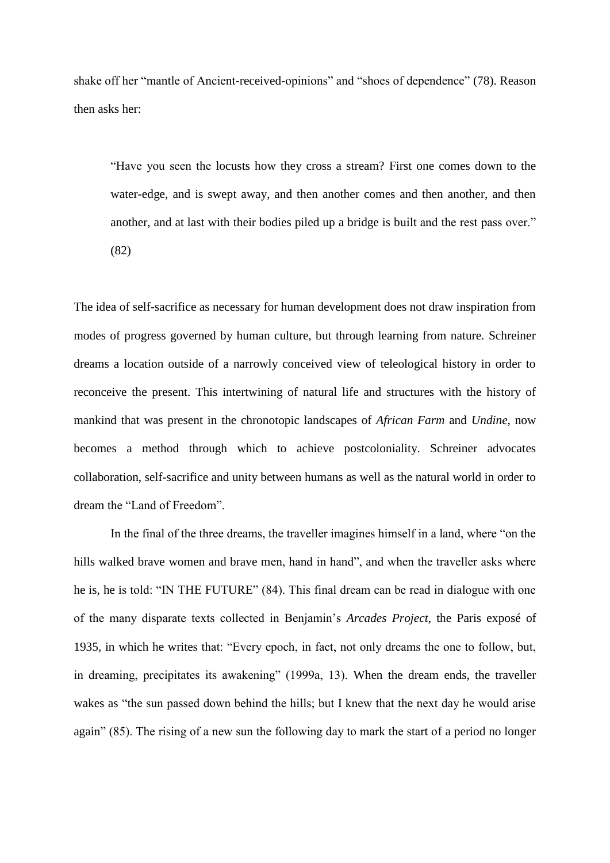shake off her "mantle of Ancient-received-opinions" and "shoes of dependence" (78). Reason then asks her:

"Have you seen the locusts how they cross a stream? First one comes down to the water-edge, and is swept away, and then another comes and then another, and then another, and at last with their bodies piled up a bridge is built and the rest pass over." (82)

The idea of self-sacrifice as necessary for human development does not draw inspiration from modes of progress governed by human culture, but through learning from nature. Schreiner dreams a location outside of a narrowly conceived view of teleological history in order to reconceive the present. This intertwining of natural life and structures with the history of mankind that was present in the chronotopic landscapes of *African Farm* and *Undine*, now becomes a method through which to achieve postcoloniality. Schreiner advocates collaboration, self-sacrifice and unity between humans as well as the natural world in order to dream the "Land of Freedom".

In the final of the three dreams, the traveller imagines himself in a land, where "on the hills walked brave women and brave men, hand in hand", and when the traveller asks where he is, he is told: "IN THE FUTURE" (84). This final dream can be read in dialogue with one of the many disparate texts collected in Benjamin's *Arcades Project*, the Paris exposé of 1935, in which he writes that: "Every epoch, in fact, not only dreams the one to follow, but, in dreaming, precipitates its awakening" (1999a, 13). When the dream ends, the traveller wakes as "the sun passed down behind the hills; but I knew that the next day he would arise again" (85). The rising of a new sun the following day to mark the start of a period no longer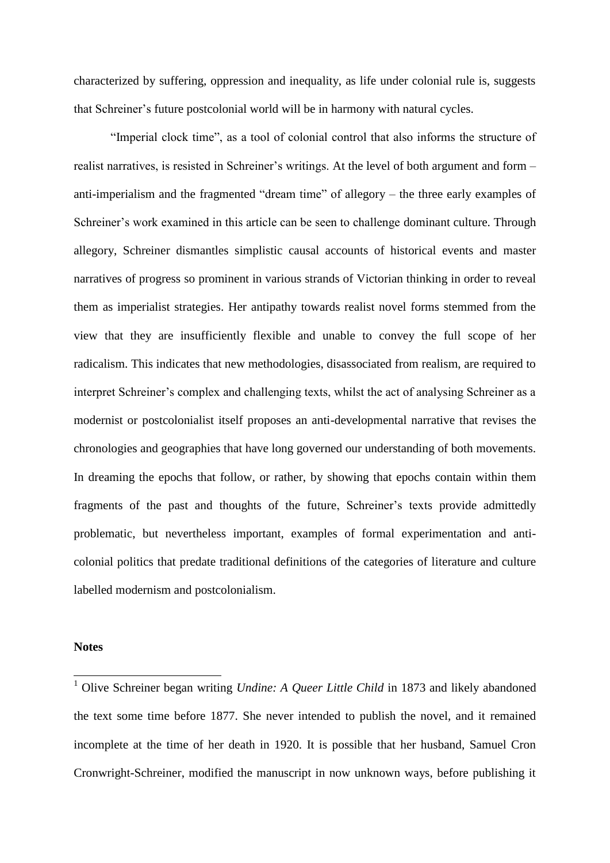characterized by suffering, oppression and inequality, as life under colonial rule is, suggests that Schreiner's future postcolonial world will be in harmony with natural cycles.

"Imperial clock time", as a tool of colonial control that also informs the structure of realist narratives, is resisted in Schreiner's writings. At the level of both argument and form – anti-imperialism and the fragmented "dream time" of allegory – the three early examples of Schreiner's work examined in this article can be seen to challenge dominant culture. Through allegory, Schreiner dismantles simplistic causal accounts of historical events and master narratives of progress so prominent in various strands of Victorian thinking in order to reveal them as imperialist strategies. Her antipathy towards realist novel forms stemmed from the view that they are insufficiently flexible and unable to convey the full scope of her radicalism. This indicates that new methodologies, disassociated from realism, are required to interpret Schreiner's complex and challenging texts, whilst the act of analysing Schreiner as a modernist or postcolonialist itself proposes an anti-developmental narrative that revises the chronologies and geographies that have long governed our understanding of both movements. In dreaming the epochs that follow, or rather, by showing that epochs contain within them fragments of the past and thoughts of the future, Schreiner's texts provide admittedly problematic, but nevertheless important, examples of formal experimentation and anticolonial politics that predate traditional definitions of the categories of literature and culture labelled modernism and postcolonialism.

# **Notes**

1

<sup>&</sup>lt;sup>1</sup> Olive Schreiner began writing *Undine: A Queer Little Child* in 1873 and likely abandoned the text some time before 1877. She never intended to publish the novel, and it remained incomplete at the time of her death in 1920. It is possible that her husband, Samuel Cron Cronwright-Schreiner, modified the manuscript in now unknown ways, before publishing it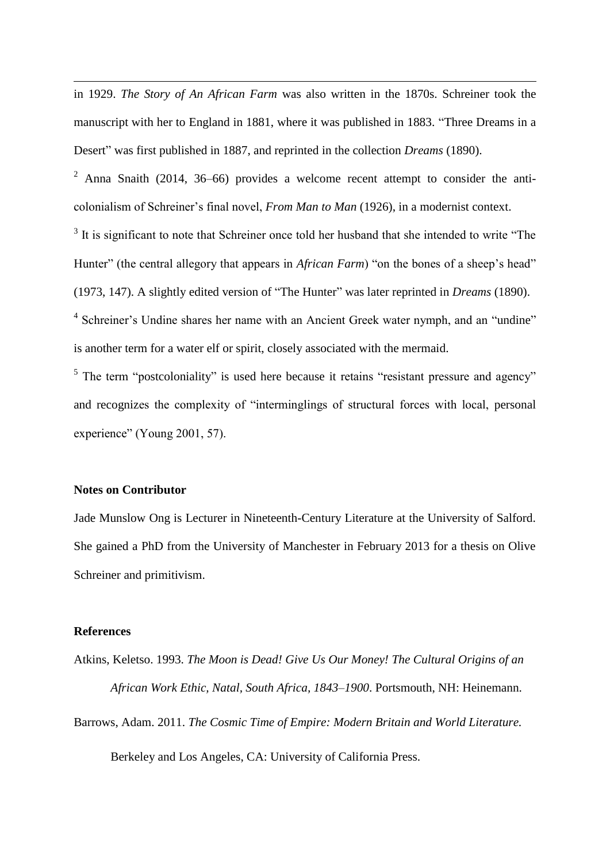in 1929. *The Story of An African Farm* was also written in the 1870s. Schreiner took the manuscript with her to England in 1881, where it was published in 1883. "Three Dreams in a Desert" was first published in 1887, and reprinted in the collection *Dreams* (1890).

<sup>2</sup> Anna Snaith (2014, 36–66) provides a welcome recent attempt to consider the anticolonialism of Schreiner's final novel, *From Man to Man* (1926), in a modernist context.

 $3$  It is significant to note that Schreiner once told her husband that she intended to write "The Hunter" (the central allegory that appears in *African Farm*) "on the bones of a sheep's head" (1973, 147). A slightly edited version of "The Hunter" was later reprinted in *Dreams* (1890).

<sup>4</sup> Schreiner's Undine shares her name with an Ancient Greek water nymph, and an "undine" is another term for a water elf or spirit, closely associated with the mermaid.

 $<sup>5</sup>$  The term "postcoloniality" is used here because it retains "resistant pressure and agency"</sup> and recognizes the complexity of "interminglings of structural forces with local, personal experience" (Young 2001, 57).

# **Notes on Contributor**

1

Jade Munslow Ong is Lecturer in Nineteenth-Century Literature at the University of Salford. She gained a PhD from the University of Manchester in February 2013 for a thesis on Olive Schreiner and primitivism.

# **References**

Atkins, Keletso. 1993. *The Moon is Dead! Give Us Our Money! The Cultural Origins of an African Work Ethic, Natal, South Africa, 1843–1900*. Portsmouth, NH: Heinemann. Barrows, Adam. 2011. *The Cosmic Time of Empire: Modern Britain and World Literature.*  Berkeley and Los Angeles, CA: University of California Press.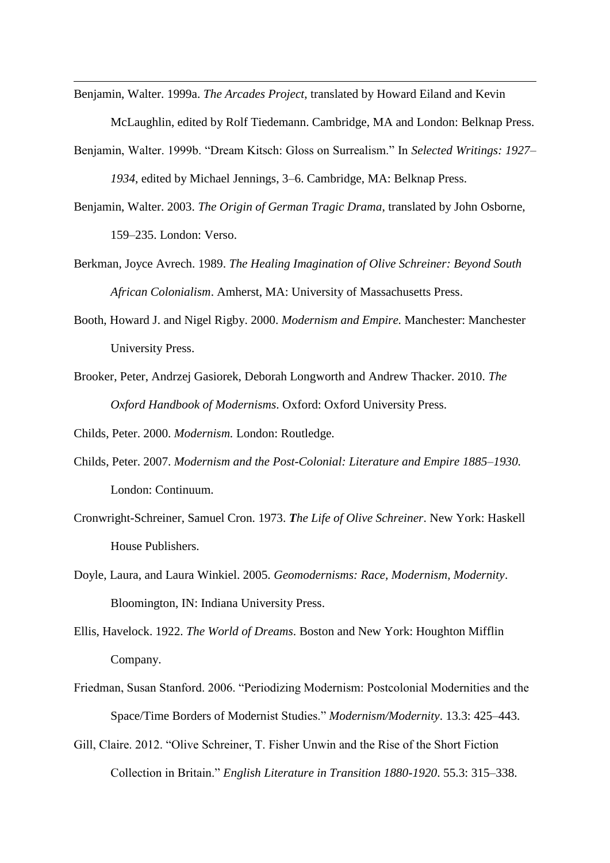- Benjamin, Walter. 1999a. *The Arcades Project*, translated by Howard Eiland and Kevin McLaughlin, edited by Rolf Tiedemann. Cambridge, MA and London: Belknap Press.
- Benjamin, Walter. 1999b. "Dream Kitsch: Gloss on Surrealism." In *Selected Writings: 1927– 1934*, edited by Michael Jennings, 3–6. Cambridge, MA: Belknap Press.
- Benjamin, Walter. 2003. *The Origin of German Tragic Drama*, translated by John Osborne, 159–235. London: Verso.
- Berkman, Joyce Avrech. 1989. *The Healing Imagination of Olive Schreiner: Beyond South African Colonialism*. Amherst, MA: University of Massachusetts Press.
- Booth, Howard J. and Nigel Rigby. 2000. *Modernism and Empire.* Manchester: Manchester University Press.
- Brooker, Peter, Andrzej Gasiorek, Deborah Longworth and Andrew Thacker. 2010. *The Oxford Handbook of Modernisms*. Oxford: Oxford University Press.

Childs, Peter. 2000. *Modernism.* London: Routledge.

1

- Childs, Peter. 2007. *Modernism and the Post-Colonial: Literature and Empire 1885–1930.* London: Continuum.
- Cronwright-Schreiner, Samuel Cron. 1973. *The Life of Olive Schreiner*. New York: Haskell House Publishers.
- Doyle, Laura, and Laura Winkiel. 2005. *Geomodernisms: Race, Modernism, Modernity*. Bloomington, IN: Indiana University Press.
- Ellis, Havelock. 1922. *The World of Dreams*. Boston and New York: Houghton Mifflin Company.
- Friedman, Susan Stanford. 2006. "Periodizing Modernism: Postcolonial Modernities and the Space/Time Borders of Modernist Studies." *Modernism/Modernity*. 13.3: 425–443.
- Gill, Claire. 2012. "Olive Schreiner, T. Fisher Unwin and the Rise of the Short Fiction Collection in Britain." *English Literature in Transition 1880-1920*. 55.3: 315–338.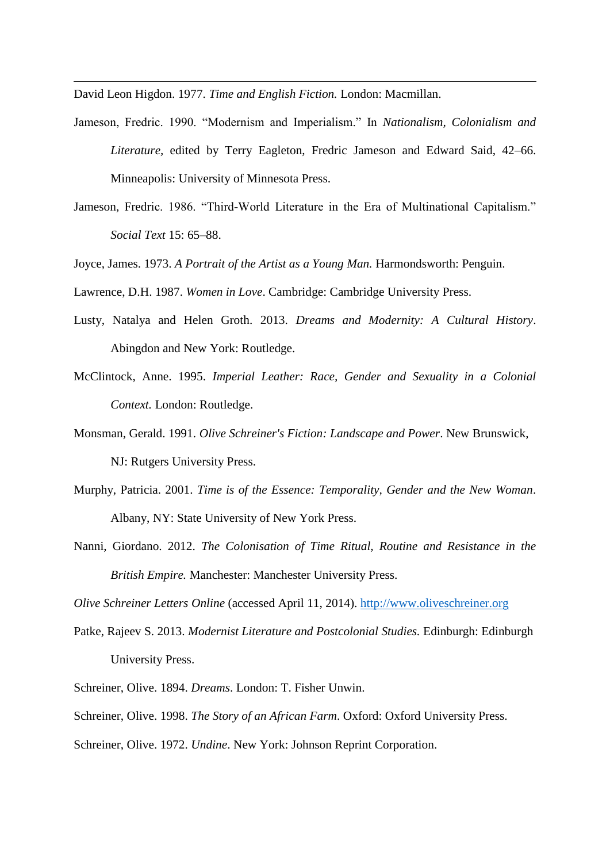David Leon Higdon. 1977. *Time and English Fiction.* London: Macmillan.

1

- Jameson, Fredric. 1990. "Modernism and Imperialism." In *Nationalism, Colonialism and Literature,* edited by Terry Eagleton, Fredric Jameson and Edward Said, 42–66. Minneapolis: University of Minnesota Press.
- Jameson, Fredric. 1986. "Third-World Literature in the Era of Multinational Capitalism." *Social Text* 15: 65–88.
- Joyce, James. 1973. *A Portrait of the Artist as a Young Man.* Harmondsworth: Penguin.

Lawrence, D.H. 1987. *Women in Love*. Cambridge: Cambridge University Press.

- Lusty, Natalya and Helen Groth. 2013. *Dreams and Modernity: A Cultural History*. Abingdon and New York: Routledge.
- McClintock, Anne. 1995. *Imperial Leather: Race, Gender and Sexuality in a Colonial Context.* London: Routledge.
- Monsman, Gerald. 1991. *Olive Schreiner's Fiction: Landscape and Power*. New Brunswick, NJ: Rutgers University Press.
- Murphy, Patricia. 2001. *Time is of the Essence: Temporality, Gender and the New Woman*. Albany, NY: State University of New York Press.
- Nanni, Giordano. 2012. *The Colonisation of Time Ritual, Routine and Resistance in the British Empire.* Manchester: Manchester University Press.

*Olive Schreiner Letters Online* (accessed April 11, 2014). [http://www.oliveschreiner.org](http://www.oliveschreiner.org/)

- Patke, Rajeev S. 2013. *Modernist Literature and Postcolonial Studies.* Edinburgh: Edinburgh University Press.
- Schreiner, Olive. 1894. *Dreams*. London: T. Fisher Unwin.
- Schreiner, Olive. 1998. *The Story of an African Farm*. Oxford: Oxford University Press.
- Schreiner, Olive. 1972. *Undine*. New York: Johnson Reprint Corporation.